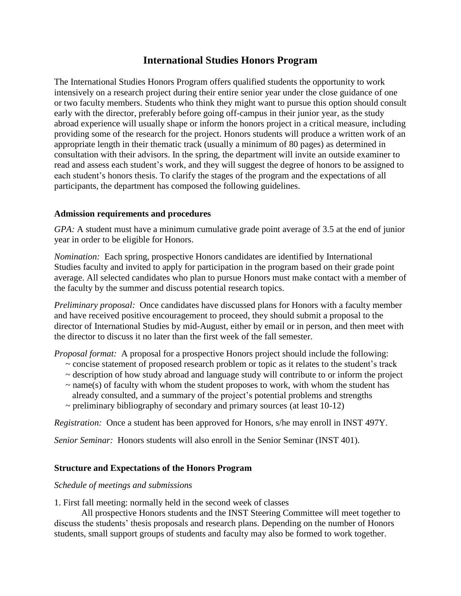# **International Studies Honors Program**

The International Studies Honors Program offers qualified students the opportunity to work intensively on a research project during their entire senior year under the close guidance of one or two faculty members. Students who think they might want to pursue this option should consult early with the director, preferably before going off-campus in their junior year, as the study abroad experience will usually shape or inform the honors project in a critical measure, including providing some of the research for the project. Honors students will produce a written work of an appropriate length in their thematic track (usually a minimum of 80 pages) as determined in consultation with their advisors. In the spring, the department will invite an outside examiner to read and assess each student's work, and they will suggest the degree of honors to be assigned to each student's honors thesis. To clarify the stages of the program and the expectations of all participants, the department has composed the following guidelines.

## **Admission requirements and procedures**

*GPA:* A student must have a minimum cumulative grade point average of 3.5 at the end of junior year in order to be eligible for Honors.

*Nomination:* Each spring, prospective Honors candidates are identified by International Studies faculty and invited to apply for participation in the program based on their grade point average. All selected candidates who plan to pursue Honors must make contact with a member of the faculty by the summer and discuss potential research topics.

*Preliminary proposal:* Once candidates have discussed plans for Honors with a faculty member and have received positive encouragement to proceed, they should submit a proposal to the director of International Studies by mid-August, either by email or in person, and then meet with the director to discuss it no later than the first week of the fall semester.

*Proposal format:* A proposal for a prospective Honors project should include the following:

- ~ concise statement of proposed research problem or topic as it relates to the student's track
- $\sim$  description of how study abroad and language study will contribute to or inform the project
- $\sim$  name(s) of faculty with whom the student proposes to work, with whom the student has already consulted, and a summary of the project's potential problems and strengths
- $\sim$  preliminary bibliography of secondary and primary sources (at least 10-12)

*Registration:* Once a student has been approved for Honors, s/he may enroll in INST 497Y.

*Senior Seminar:* Honors students will also enroll in the Senior Seminar (INST 401).

# **Structure and Expectations of the Honors Program**

## *Schedule of meetings and submissions*

1. First fall meeting: normally held in the second week of classes

All prospective Honors students and the INST Steering Committee will meet together to discuss the students' thesis proposals and research plans. Depending on the number of Honors students, small support groups of students and faculty may also be formed to work together.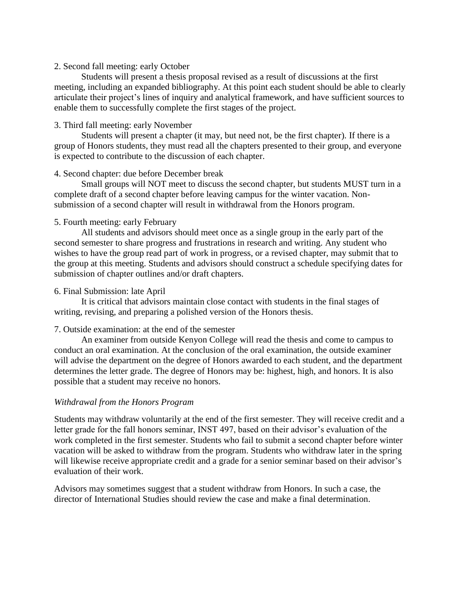#### 2. Second fall meeting: early October

Students will present a thesis proposal revised as a result of discussions at the first meeting, including an expanded bibliography. At this point each student should be able to clearly articulate their project's lines of inquiry and analytical framework, and have sufficient sources to enable them to successfully complete the first stages of the project.

#### 3. Third fall meeting: early November

Students will present a chapter (it may, but need not, be the first chapter). If there is a group of Honors students, they must read all the chapters presented to their group, and everyone is expected to contribute to the discussion of each chapter.

#### 4. Second chapter: due before December break

Small groups will NOT meet to discuss the second chapter, but students MUST turn in a complete draft of a second chapter before leaving campus for the winter vacation. Nonsubmission of a second chapter will result in withdrawal from the Honors program.

## 5. Fourth meeting: early February

All students and advisors should meet once as a single group in the early part of the second semester to share progress and frustrations in research and writing. Any student who wishes to have the group read part of work in progress, or a revised chapter, may submit that to the group at this meeting. Students and advisors should construct a schedule specifying dates for submission of chapter outlines and/or draft chapters.

#### 6. Final Submission: late April

It is critical that advisors maintain close contact with students in the final stages of writing, revising, and preparing a polished version of the Honors thesis.

## 7. Outside examination: at the end of the semester

An examiner from outside Kenyon College will read the thesis and come to campus to conduct an oral examination. At the conclusion of the oral examination, the outside examiner will advise the department on the degree of Honors awarded to each student, and the department determines the letter grade. The degree of Honors may be: highest, high, and honors. It is also possible that a student may receive no honors.

## *Withdrawal from the Honors Program*

Students may withdraw voluntarily at the end of the first semester. They will receive credit and a letter grade for the fall honors seminar, INST 497, based on their advisor's evaluation of the work completed in the first semester. Students who fail to submit a second chapter before winter vacation will be asked to withdraw from the program. Students who withdraw later in the spring will likewise receive appropriate credit and a grade for a senior seminar based on their advisor's evaluation of their work.

Advisors may sometimes suggest that a student withdraw from Honors. In such a case, the director of International Studies should review the case and make a final determination.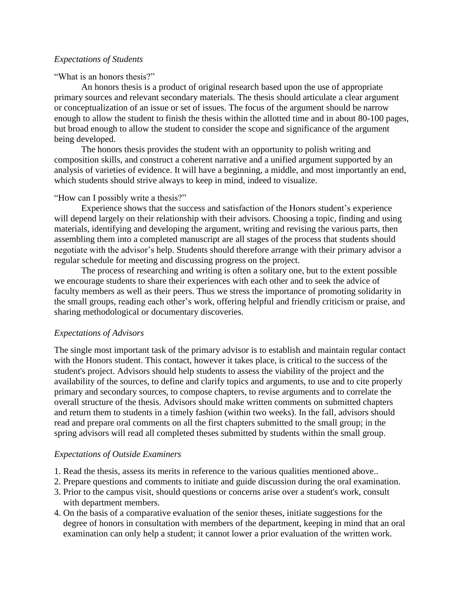#### *Expectations of Students*

#### "What is an honors thesis?"

An honors thesis is a product of original research based upon the use of appropriate primary sources and relevant secondary materials. The thesis should articulate a clear argument or conceptualization of an issue or set of issues. The focus of the argument should be narrow enough to allow the student to finish the thesis within the allotted time and in about 80-100 pages, but broad enough to allow the student to consider the scope and significance of the argument being developed.

The honors thesis provides the student with an opportunity to polish writing and composition skills, and construct a coherent narrative and a unified argument supported by an analysis of varieties of evidence. It will have a beginning, a middle, and most importantly an end, which students should strive always to keep in mind, indeed to visualize.

#### "How can I possibly write a thesis?"

Experience shows that the success and satisfaction of the Honors student's experience will depend largely on their relationship with their advisors. Choosing a topic, finding and using materials, identifying and developing the argument, writing and revising the various parts, then assembling them into a completed manuscript are all stages of the process that students should negotiate with the advisor's help. Students should therefore arrange with their primary advisor a regular schedule for meeting and discussing progress on the project.

The process of researching and writing is often a solitary one, but to the extent possible we encourage students to share their experiences with each other and to seek the advice of faculty members as well as their peers. Thus we stress the importance of promoting solidarity in the small groups, reading each other's work, offering helpful and friendly criticism or praise, and sharing methodological or documentary discoveries.

## *Expectations of Advisors*

The single most important task of the primary advisor is to establish and maintain regular contact with the Honors student. This contact, however it takes place, is critical to the success of the student's project. Advisors should help students to assess the viability of the project and the availability of the sources, to define and clarify topics and arguments, to use and to cite properly primary and secondary sources, to compose chapters, to revise arguments and to correlate the overall structure of the thesis. Advisors should make written comments on submitted chapters and return them to students in a timely fashion (within two weeks). In the fall, advisors should read and prepare oral comments on all the first chapters submitted to the small group; in the spring advisors will read all completed theses submitted by students within the small group.

## *Expectations of Outside Examiners*

- 1. Read the thesis, assess its merits in reference to the various qualities mentioned above..
- 2. Prepare questions and comments to initiate and guide discussion during the oral examination.
- 3. Prior to the campus visit, should questions or concerns arise over a student's work, consult with department members.
- 4. On the basis of a comparative evaluation of the senior theses, initiate suggestions for the degree of honors in consultation with members of the department, keeping in mind that an oral examination can only help a student; it cannot lower a prior evaluation of the written work.